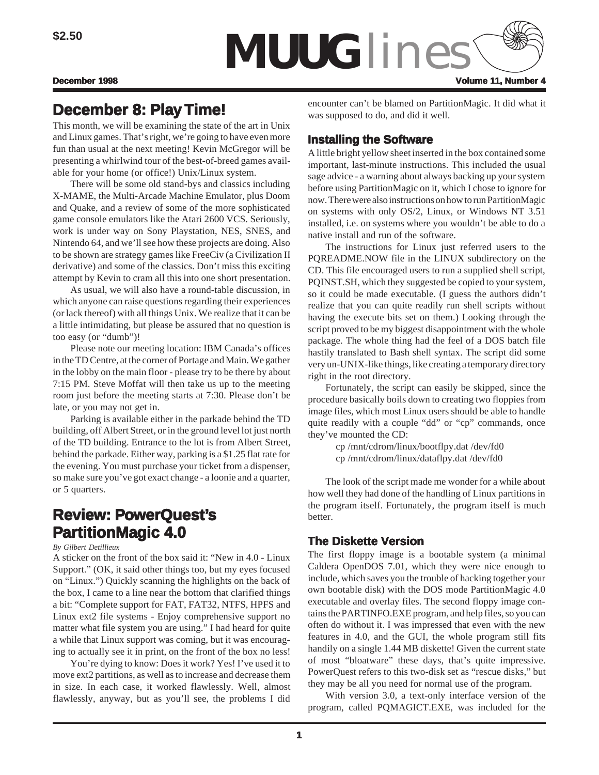

# **December 8: December 8: Play Time!**

This month, we will be examining the state of the art in Unix and Linux games. That's right, we're going to have even more fun than usual at the next meeting! Kevin McGregor will be presenting a whirlwind tour of the best-of-breed games available for your home (or office!) Unix/Linux system.

There will be some old stand-bys and classics including X-MAME, the Multi-Arcade Machine Emulator, plus Doom and Quake, and a review of some of the more sophisticated game console emulators like the Atari 2600 VCS. Seriously, work is under way on Sony Playstation, NES, SNES, and Nintendo 64, and we'll see how these projects are doing. Also to be shown are strategy games like FreeCiv (a Civilization II derivative) and some of the classics. Don't miss this exciting attempt by Kevin to cram all this into one short presentation.

As usual, we will also have a round-table discussion, in which anyone can raise questions regarding their experiences (or lack thereof) with all things Unix. We realize that it can be a little intimidating, but please be assured that no question is too easy (or "dumb")!

Please note our meeting location: IBM Canada's offices in the TD Centre, at the corner of Portage and Main. We gather in the lobby on the main floor - please try to be there by about 7:15 PM. Steve Moffat will then take us up to the meeting room just before the meeting starts at 7:30. Please don't be late, or you may not get in.

Parking is available either in the parkade behind the TD building, off Albert Street, or in the ground level lot just north of the TD building. Entrance to the lot is from Albert Street, behind the parkade. Either way, parking is a \$1.25 flat rate for the evening. You must purchase your ticket from a dispenser, so make sure you've got exact change - a loonie and a quarter, or 5 quarters.

# **Review: PowerQuest's PartitionMagic 4.0**

#### *By Gilbert Detillieux*

A sticker on the front of the box said it: "New in 4.0 - Linux Support." (OK, it said other things too, but my eyes focused on "Linux.") Quickly scanning the highlights on the back of the box, I came to a line near the bottom that clarified things a bit: "Complete support for FAT, FAT32, NTFS, HPFS and Linux ext2 file systems - Enjoy comprehensive support no matter what file system you are using." I had heard for quite a while that Linux support was coming, but it was encouraging to actually see it in print, on the front of the box no less!

You're dying to know: Does it work? Yes! I've used it to move ext2 partitions, as well as to increase and decrease them in size. In each case, it worked flawlessly. Well, almost flawlessly, anyway, but as you'll see, the problems I did encounter can't be blamed on PartitionMagic. It did what it was supposed to do, and did it well.

### **Installing the Software**

A little bright yellow sheet inserted in the box contained some important, last-minute instructions. This included the usual sage advice - a warning about always backing up your system before using PartitionMagic on it, which I chose to ignore for now. There were also instructions on how to run PartitionMagic on systems with only OS/2, Linux, or Windows NT 3.51 installed, i.e. on systems where you wouldn't be able to do a native install and run of the software.

The instructions for Linux just referred users to the PQREADME.NOW file in the LINUX subdirectory on the CD. This file encouraged users to run a supplied shell script, PQINST.SH, which they suggested be copied to your system, so it could be made executable. (I guess the authors didn't realize that you can quite readily run shell scripts without having the execute bits set on them.) Looking through the script proved to be my biggest disappointment with the whole package. The whole thing had the feel of a DOS batch file hastily translated to Bash shell syntax. The script did some very un-UNIX-like things, like creating a temporary directory right in the root directory.

Fortunately, the script can easily be skipped, since the procedure basically boils down to creating two floppies from image files, which most Linux users should be able to handle quite readily with a couple "dd" or "cp" commands, once they've mounted the CD:

> cp /mnt/cdrom/linux/bootflpy.dat /dev/fd0 cp /mnt/cdrom/linux/dataflpy.dat /dev/fd0

The look of the script made me wonder for a while about how well they had done of the handling of Linux partitions in the program itself. Fortunately, the program itself is much better.

### **The Diskette Version**

The first floppy image is a bootable system (a minimal Caldera OpenDOS 7.01, which they were nice enough to include, which saves you the trouble of hacking together your own bootable disk) with the DOS mode PartitionMagic 4.0 executable and overlay files. The second floppy image contains the PARTINFO.EXE program, and help files, so you can often do without it. I was impressed that even with the new features in 4.0, and the GUI, the whole program still fits handily on a single 1.44 MB diskette! Given the current state of most "bloatware" these days, that's quite impressive. PowerQuest refers to this two-disk set as "rescue disks," but they may be all you need for normal use of the program.

With version 3.0, a text-only interface version of the program, called PQMAGICT.EXE, was included for the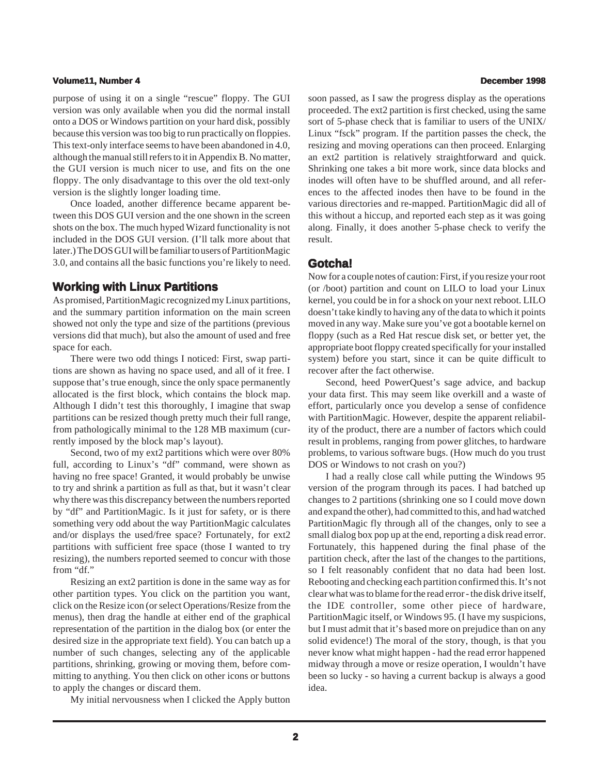#### **Volume11, Number 4 December 1998**

purpose of using it on a single "rescue" floppy. The GUI version was only available when you did the normal install onto a DOS or Windows partition on your hard disk, possibly because this version was too big to run practically on floppies. This text-only interface seems to have been abandoned in 4.0, although the manual still refers to it in Appendix B. No matter, the GUI version is much nicer to use, and fits on the one floppy. The only disadvantage to this over the old text-only version is the slightly longer loading time.

Once loaded, another difference became apparent between this DOS GUI version and the one shown in the screen shots on the box. The much hyped Wizard functionality is not included in the DOS GUI version. (I'll talk more about that later.) The DOS GUI will be familiar to users of PartitionMagic 3.0, and contains all the basic functions you're likely to need.

### **Working with Linux Partitions**

As promised, PartitionMagic recognized my Linux partitions, and the summary partition information on the main screen showed not only the type and size of the partitions (previous versions did that much), but also the amount of used and free space for each.

There were two odd things I noticed: First, swap partitions are shown as having no space used, and all of it free. I suppose that's true enough, since the only space permanently allocated is the first block, which contains the block map. Although I didn't test this thoroughly, I imagine that swap partitions can be resized though pretty much their full range, from pathologically minimal to the 128 MB maximum (currently imposed by the block map's layout).

Second, two of my ext2 partitions which were over 80% full, according to Linux's "df" command, were shown as having no free space! Granted, it would probably be unwise to try and shrink a partition as full as that, but it wasn't clear why there was this discrepancy between the numbers reported by "df" and PartitionMagic. Is it just for safety, or is there something very odd about the way PartitionMagic calculates and/or displays the used/free space? Fortunately, for ext2 partitions with sufficient free space (those I wanted to try resizing), the numbers reported seemed to concur with those from "df."

Resizing an ext2 partition is done in the same way as for other partition types. You click on the partition you want, click on the Resize icon (or select Operations/Resize from the menus), then drag the handle at either end of the graphical representation of the partition in the dialog box (or enter the desired size in the appropriate text field). You can batch up a number of such changes, selecting any of the applicable partitions, shrinking, growing or moving them, before committing to anything. You then click on other icons or buttons to apply the changes or discard them.

My initial nervousness when I clicked the Apply button

soon passed, as I saw the progress display as the operations proceeded. The ext2 partition is first checked, using the same sort of 5-phase check that is familiar to users of the UNIX/ Linux "fsck" program. If the partition passes the check, the resizing and moving operations can then proceed. Enlarging an ext2 partition is relatively straightforward and quick. Shrinking one takes a bit more work, since data blocks and inodes will often have to be shuffled around, and all references to the affected inodes then have to be found in the various directories and re-mapped. PartitionMagic did all of this without a hiccup, and reported each step as it was going along. Finally, it does another 5-phase check to verify the result.

#### **Gotcha! Gotcha!**

Now for a couple notes of caution: First, if you resize your root (or /boot) partition and count on LILO to load your Linux kernel, you could be in for a shock on your next reboot. LILO doesn't take kindly to having any of the data to which it points moved in any way. Make sure you've got a bootable kernel on floppy (such as a Red Hat rescue disk set, or better yet, the appropriate boot floppy created specifically for your installed system) before you start, since it can be quite difficult to recover after the fact otherwise.

Second, heed PowerQuest's sage advice, and backup your data first. This may seem like overkill and a waste of effort, particularly once you develop a sense of confidence with PartitionMagic. However, despite the apparent reliability of the product, there are a number of factors which could result in problems, ranging from power glitches, to hardware problems, to various software bugs. (How much do you trust DOS or Windows to not crash on you?)

I had a really close call while putting the Windows 95 version of the program through its paces. I had batched up changes to 2 partitions (shrinking one so I could move down and expand the other), had committed to this, and had watched PartitionMagic fly through all of the changes, only to see a small dialog box pop up at the end, reporting a disk read error. Fortunately, this happened during the final phase of the partition check, after the last of the changes to the partitions, so I felt reasonably confident that no data had been lost. Rebooting and checking each partition confirmed this. It's not clear what was to blame for the read error - the disk drive itself, the IDE controller, some other piece of hardware, PartitionMagic itself, or Windows 95. (I have my suspicions, but I must admit that it's based more on prejudice than on any solid evidence!) The moral of the story, though, is that you never know what might happen - had the read error happened midway through a move or resize operation, I wouldn't have been so lucky - so having a current backup is always a good idea.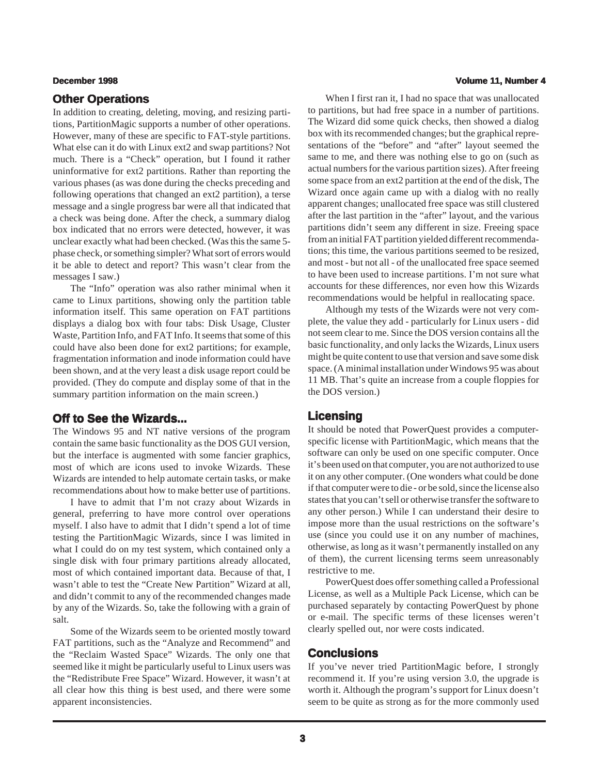#### **Other Operations**

In addition to creating, deleting, moving, and resizing partitions, PartitionMagic supports a number of other operations. However, many of these are specific to FAT-style partitions. What else can it do with Linux ext2 and swap partitions? Not much. There is a "Check" operation, but I found it rather uninformative for ext2 partitions. Rather than reporting the various phases (as was done during the checks preceding and following operations that changed an ext2 partition), a terse message and a single progress bar were all that indicated that a check was being done. After the check, a summary dialog box indicated that no errors were detected, however, it was unclear exactly what had been checked. (Was this the same 5 phase check, or something simpler? What sort of errors would it be able to detect and report? This wasn't clear from the messages I saw.)

The "Info" operation was also rather minimal when it came to Linux partitions, showing only the partition table information itself. This same operation on FAT partitions displays a dialog box with four tabs: Disk Usage, Cluster Waste, Partition Info, and FAT Info. It seems that some of this could have also been done for ext2 partitions; for example, fragmentation information and inode information could have been shown, and at the very least a disk usage report could be provided. (They do compute and display some of that in the summary partition information on the main screen.)

### **Off to See the Wizards... Off to**

The Windows 95 and NT native versions of the program contain the same basic functionality as the DOS GUI version, but the interface is augmented with some fancier graphics, most of which are icons used to invoke Wizards. These Wizards are intended to help automate certain tasks, or make recommendations about how to make better use of partitions.

I have to admit that I'm not crazy about Wizards in general, preferring to have more control over operations myself. I also have to admit that I didn't spend a lot of time testing the PartitionMagic Wizards, since I was limited in what I could do on my test system, which contained only a single disk with four primary partitions already allocated, most of which contained important data. Because of that, I wasn't able to test the "Create New Partition" Wizard at all, and didn't commit to any of the recommended changes made by any of the Wizards. So, take the following with a grain of salt.

Some of the Wizards seem to be oriented mostly toward FAT partitions, such as the "Analyze and Recommend" and the "Reclaim Wasted Space" Wizards. The only one that seemed like it might be particularly useful to Linux users was the "Redistribute Free Space" Wizard. However, it wasn't at all clear how this thing is best used, and there were some apparent inconsistencies.

#### **December 1998 Volume 11, Number 4**

When I first ran it, I had no space that was unallocated to partitions, but had free space in a number of partitions. The Wizard did some quick checks, then showed a dialog box with its recommended changes; but the graphical representations of the "before" and "after" layout seemed the same to me, and there was nothing else to go on (such as actual numbers for the various partition sizes). After freeing some space from an ext2 partition at the end of the disk, The Wizard once again came up with a dialog with no really apparent changes; unallocated free space was still clustered after the last partition in the "after" layout, and the various partitions didn't seem any different in size. Freeing space from an initial FAT partition yielded different recommendations; this time, the various partitions seemed to be resized, and most - but not all - of the unallocated free space seemed to have been used to increase partitions. I'm not sure what accounts for these differences, nor even how this Wizards recommendations would be helpful in reallocating space.

Although my tests of the Wizards were not very complete, the value they add - particularly for Linux users - did not seem clear to me. Since the DOS version contains all the basic functionality, and only lacks the Wizards, Linux users might be quite content to use that version and save some disk space. (A minimal installation under Windows 95 was about 11 MB. That's quite an increase from a couple floppies for the DOS version.)

### **Licensing**

It should be noted that PowerQuest provides a computerspecific license with PartitionMagic, which means that the software can only be used on one specific computer. Once it's been used on that computer, you are not authorized to use it on any other computer. (One wonders what could be done if that computer were to die - or be sold, since the license also states that you can't sell or otherwise transfer the software to any other person.) While I can understand their desire to impose more than the usual restrictions on the software's use (since you could use it on any number of machines, otherwise, as long as it wasn't permanently installed on any of them), the current licensing terms seem unreasonably restrictive to me.

PowerQuest does offer something called a Professional License, as well as a Multiple Pack License, which can be purchased separately by contacting PowerQuest by phone or e-mail. The specific terms of these licenses weren't clearly spelled out, nor were costs indicated.

### **Conclusions**

If you've never tried PartitionMagic before, I strongly recommend it. If you're using version 3.0, the upgrade is worth it. Although the program's support for Linux doesn't seem to be quite as strong as for the more commonly used